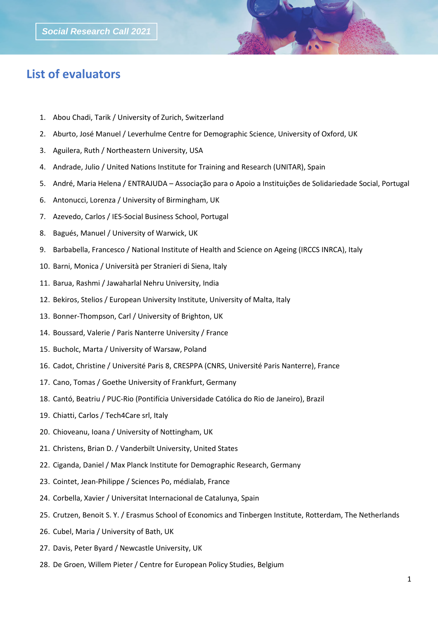## **List of evaluators**

- 1. Abou Chadi, Tarik / University of Zurich, Switzerland
- 2. Aburto, José Manuel / Leverhulme Centre for Demographic Science, University of Oxford, UK
- 3. Aguilera, Ruth / Northeastern University, USA
- 4. Andrade, Julio / United Nations Institute for Training and Research (UNITAR), Spain
- 5. André, Maria Helena / ENTRAJUDA Associação para o Apoio a Instituições de Solidariedade Social, Portugal
- 6. Antonucci, Lorenza / University of Birmingham, UK
- 7. Azevedo, Carlos / IES-Social Business School, Portugal
- 8. Bagués, Manuel / University of Warwick, UK
- 9. Barbabella, Francesco / National Institute of Health and Science on Ageing (IRCCS INRCA), Italy
- 10. Barni, Monica / Università per Stranieri di Siena, Italy
- 11. Barua, Rashmi / Jawaharlal Nehru University, India
- 12. Bekiros, Stelios / European University Institute, University of Malta, Italy
- 13. Bonner-Thompson, Carl / University of Brighton, UK
- 14. Boussard, Valerie / Paris Nanterre University / France
- 15. Bucholc, Marta / University of Warsaw, Poland
- 16. Cadot, Christine / Université Paris 8, CRESPPA (CNRS, Université Paris Nanterre), France
- 17. Cano, Tomas / Goethe University of Frankfurt, Germany
- 18. Cantó, Beatriu / PUC-Rio (Pontifícia Universidade Católica do Rio de Janeiro), Brazil
- 19. Chiatti, Carlos / Tech4Care srl, Italy
- 20. Chioveanu, Ioana / University of Nottingham, UK
- 21. Christens, Brian D. / Vanderbilt University, United States
- 22. Ciganda, Daniel / Max Planck Institute for Demographic Research, Germany
- 23. Cointet, Jean-Philippe / Sciences Po, médialab, France
- 24. Corbella, Xavier / Universitat Internacional de Catalunya, Spain
- 25. Crutzen, Benoit S. Y. / Erasmus School of Economics and Tinbergen Institute, Rotterdam, The Netherlands
- 26. Cubel, Maria / University of Bath, UK
- 27. Davis, Peter Byard / Newcastle University, UK
- 28. De Groen, Willem Pieter / Centre for European Policy Studies, Belgium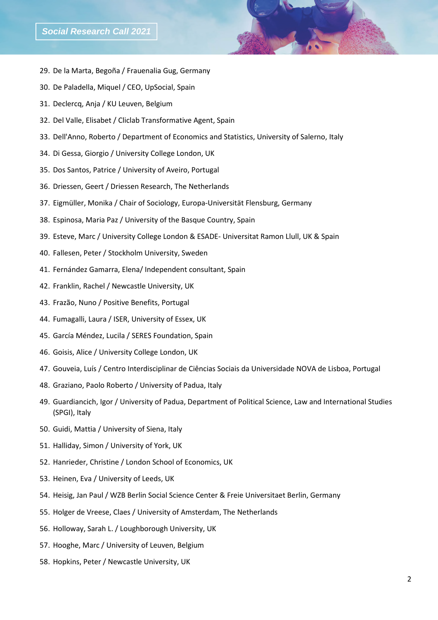- 29. De la Marta, Begoña / Frauenalia Gug, Germany
- 30. De Paladella, Miquel / CEO, UpSocial, Spain
- 31. Declercq, Anja / KU Leuven, Belgium
- 32. Del Valle, Elisabet / Cliclab Transformative Agent, Spain
- 33. Dell'Anno, Roberto / Department of Economics and Statistics, University of Salerno, Italy
- 34. Di Gessa, Giorgio / University College London, UK
- 35. Dos Santos, Patrice / University of Aveiro, Portugal
- 36. Driessen, Geert / Driessen Research, The Netherlands
- 37. Eigmüller, Monika / Chair of Sociology, Europa-Universität Flensburg, Germany
- 38. Espinosa, Maria Paz / University of the Basque Country, Spain
- 39. Esteve, Marc / University College London & ESADE- Universitat Ramon Llull, UK & Spain
- 40. Fallesen, Peter / Stockholm University, Sweden
- 41. Fernández Gamarra, Elena/ Independent consultant, Spain
- 42. Franklin, Rachel / Newcastle University, UK
- 43. Frazão, Nuno / Positive Benefits, Portugal
- 44. Fumagalli, Laura / ISER, University of Essex, UK
- 45. García Méndez, Lucila / SERES Foundation, Spain
- 46. Goisis, Alice / University College London, UK
- 47. Gouveia, Luís / Centro Interdisciplinar de Ciências Sociais da Universidade NOVA de Lisboa, Portugal
- 48. Graziano, Paolo Roberto / University of Padua, Italy
- 49. Guardiancich, Igor / University of Padua, Department of Political Science, Law and International Studies (SPGI), Italy
- 50. Guidi, Mattia / University of Siena, Italy
- 51. Halliday, Simon / University of York, UK
- 52. Hanrieder, Christine / London School of Economics, UK
- 53. Heinen, Eva / University of Leeds, UK
- 54. Heisig, Jan Paul / WZB Berlin Social Science Center & Freie Universitaet Berlin, Germany
- 55. Holger de Vreese, Claes / University of Amsterdam, The Netherlands
- 56. Holloway, Sarah L. / Loughborough University, UK
- 57. Hooghe, Marc / University of Leuven, Belgium
- 58. Hopkins, Peter / Newcastle University, UK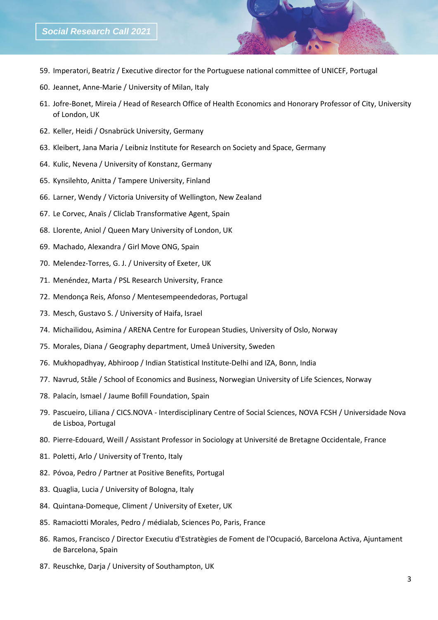- 59. Imperatori, Beatriz / Executive director for the Portuguese national committee of UNICEF, Portugal
- 60. Jeannet, Anne-Marie / University of Milan, Italy
- 61. Jofre-Bonet, Mireia / Head of Research Office of Health Economics and Honorary Professor of City, University of London, UK
- 62. Keller, Heidi / Osnabrück University, Germany
- 63. Kleibert, Jana Maria / Leibniz Institute for Research on Society and Space, Germany
- 64. Kulic, Nevena / University of Konstanz, Germany
- 65. Kynsilehto, Anitta / Tampere University, Finland
- 66. Larner, Wendy / Victoria University of Wellington, New Zealand
- 67. Le Corvec, Anaïs / Cliclab Transformative Agent, Spain
- 68. Llorente, Aniol / Queen Mary University of London, UK
- 69. Machado, Alexandra / Girl Move ONG, Spain
- 70. Melendez-Torres, G. J. / University of Exeter, UK
- 71. Menéndez, Marta / PSL Research University, France
- 72. Mendonça Reis, Afonso / Mentesempeendedoras, Portugal
- 73. Mesch, Gustavo S. / University of Haifa, Israel
- 74. Michailidou, Asimina / ARENA Centre for European Studies, University of Oslo, Norway
- 75. Morales, Diana / Geography department, Umeå University, Sweden
- 76. Mukhopadhyay, Abhiroop / Indian Statistical Institute-Delhi and IZA, Bonn, India
- 77. Navrud, Ståle / School of Economics and Business, Norwegian University of Life Sciences, Norway
- 78. Palacín, Ismael / Jaume Bofill Foundation, Spain
- 79. Pascueiro, Liliana / CICS.NOVA Interdisciplinary Centre of Social Sciences, NOVA FCSH / Universidade Nova de Lisboa, Portugal
- 80. Pierre-Edouard, Weill / Assistant Professor in Sociology at Université de Bretagne Occidentale, France
- 81. Poletti, Arlo / University of Trento, Italy
- 82. Póvoa, Pedro / Partner at Positive Benefits, Portugal
- 83. Quaglia, Lucia / University of Bologna, Italy
- 84. Quintana-Domeque, Climent / University of Exeter, UK
- 85. Ramaciotti Morales, Pedro / médialab, Sciences Po, Paris, France
- 86. Ramos, Francisco / Director Executiu d'Estratègies de Foment de l'Ocupació, Barcelona Activa, Ajuntament de Barcelona, Spain
- 87. Reuschke, Darja / University of Southampton, UK